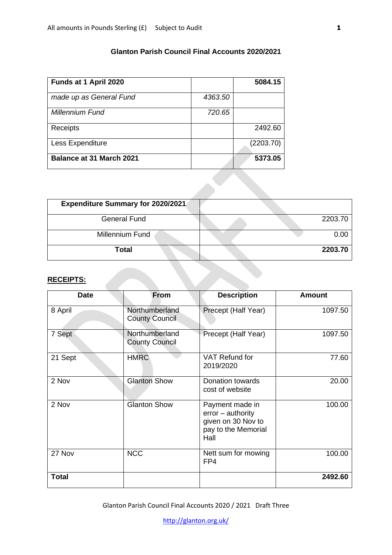## **Glanton Parish Council Final Accounts 2020/2021**

| Funds at 1 April 2020           |         | 5084.15   |
|---------------------------------|---------|-----------|
| made up as General Fund         | 4363.50 |           |
| <b>Millennium Fund</b>          | 720.65  |           |
| Receipts                        |         | 2492.60   |
| Less Expenditure                |         | (2203.70) |
| <b>Balance at 31 March 2021</b> |         | 5373.05   |

| <b>Expenditure Summary for 2020/2021</b> |         |
|------------------------------------------|---------|
| <b>General Fund</b>                      | 2203.70 |
| Millennium Fund                          | 0.00    |
| Total                                    | 2203.70 |

## **RECEIPTS:**

| <b>Date</b>  | <b>From</b>                             | <b>Description</b>                                                                          | <b>Amount</b> |
|--------------|-----------------------------------------|---------------------------------------------------------------------------------------------|---------------|
| 8 April      | Northumberland<br><b>County Council</b> | Precept (Half Year)                                                                         | 1097.50       |
| 7 Sept       | Northumberland<br><b>County Council</b> | Precept (Half Year)                                                                         | 1097.50       |
| 21 Sept      | <b>HMRC</b>                             | VAT Refund for<br>2019/2020                                                                 | 77.60         |
| 2 Nov        | <b>Glanton Show</b>                     | Donation towards<br>cost of website                                                         | 20.00         |
| 2 Nov        | Glanton Show                            | Payment made in<br>$error - authority$<br>given on 30 Nov to<br>pay to the Memorial<br>Hall | 100.00        |
| 27 Nov       | <b>NCC</b>                              | Nett sum for mowing<br>FP4                                                                  | 100.00        |
| <b>Total</b> |                                         |                                                                                             | 2492.60       |

Glanton Parish Council Final Accounts 2020 / 2021 Draft Three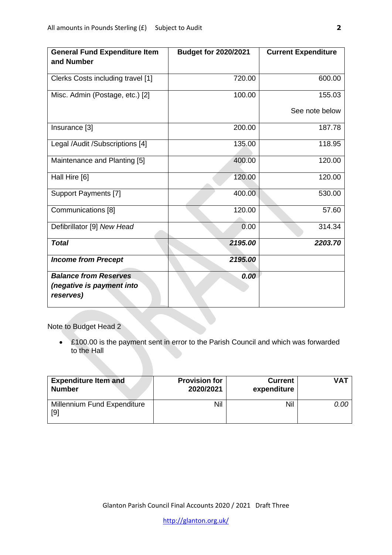| <b>General Fund Expenditure Item</b><br>and Number                     | <b>Budget for 2020/2021</b> | <b>Current Expenditure</b> |
|------------------------------------------------------------------------|-----------------------------|----------------------------|
| Clerks Costs including travel [1]                                      | 720.00                      | 600.00                     |
| Misc. Admin (Postage, etc.) [2]                                        | 100.00                      | 155.03                     |
|                                                                        |                             | See note below             |
| Insurance [3]                                                          | 200.00                      | 187.78                     |
| Legal /Audit /Subscriptions [4]                                        | 135.00                      | 118.95                     |
| Maintenance and Planting [5]                                           | 400.00                      | 120.00                     |
| Hall Hire [6]                                                          | 120.00                      | 120.00                     |
| <b>Support Payments [7]</b>                                            | 400.00                      | 530.00                     |
| Communications [8]                                                     | 120.00                      | 57.60                      |
| Defibrillator [9] New Head                                             | 0.00                        | 314.34                     |
| <b>Total</b>                                                           | 2195.00                     | 2203.70                    |
| <b>Income from Precept</b>                                             | 2195.00                     |                            |
| <b>Balance from Reserves</b><br>(negative is payment into<br>reserves) | 0.00                        |                            |

Note to Budget Head 2

• £100.00 is the payment sent in error to the Parish Council and which was forwarded to the Hall

| <b>Expenditure Item and</b>        | <b>Provision for</b> | <b>Current</b> | <b>VAT</b> |
|------------------------------------|----------------------|----------------|------------|
| <b>Number</b>                      | 2020/2021            | expenditure    |            |
| Millennium Fund Expenditure<br>[9] | Nil                  | Nil            | 0.00       |

Glanton Parish Council Final Accounts 2020 / 2021 Draft Three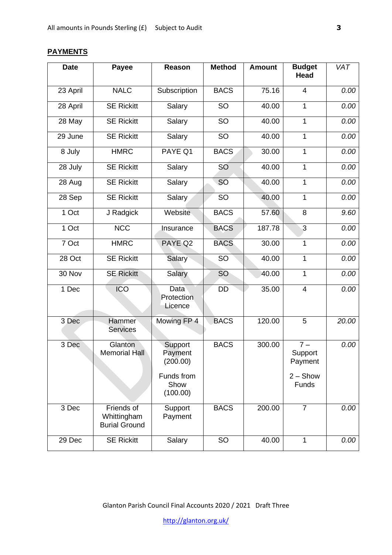### **Date Payee Reason Method Amount Budget Head** 23 April NALC Subscription BACS 75.16 4 *0.00* 28 April | SE Rickitt | Salary | SO | 40.00 | 1 | 0.00 28 May | SE Rickitt | Salary | SO | 40.00 | 1 | 0.00 29 June | SE Rickitt | Salary | SO | 40.00 | 1 | 0.00 8 July HMRC PAYE Q1 BACS 30.00 1 *0.00* 28 July | SE Rickitt | Salary | SO | 40.00 | 1 | 0.00 28 Aug | SE Rickitt | Salary | SO | 40.00 | 1 | 0.00 28 Sep SE Rickitt Salary SO 40.00 1 0.00 1 Oct J Radgick Website BACS 57.60 8 9.60 1 Oct | NCC | Insurance | BACS | 187.78 | 3 | 0.00 7 Oct HMRC PAYE Q2 BACS 30.00 1 *0.00* 28 Oct | SE Rickitt | Salary | SO | 40.00 | 1 | 0.00 30 Nov SE Rickitt Salary SO 40.00 1 *0.00* 1 Dec | ICO | Data **Protection Licence** DD 35.00 4 *0.00* 3 Dec Hammer **Services** Mowing FP 4 | BACS | 120.00 | 5 | 20.00 3 Dec Glanton Memorial Hall **Support Payment** (200.00) Funds from Show (100.00) BACS 300.00 7 – **Support** Payment  $2 -$ Show **Funds** 3 Dec Friends of Whittingham Burial Ground **Support** Payment BACS 200.00 7 *0.00*

#### **PAYMENTS**

Glanton Parish Council Final Accounts 2020 / 2021 Draft Three

29 Dec | SE Rickitt | Salary | SO | 40.00 | 1 | 0.00

<http://glanton.org.uk/>

*VAT*

*0.00*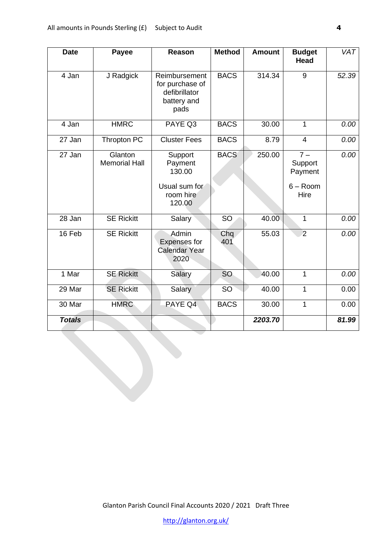| <b>Date</b>   | Payee                           | <b>Reason</b>                                                            | <b>Method</b> | <b>Amount</b> | <b>Budget</b><br><b>Head</b>                      | <b>VAT</b> |
|---------------|---------------------------------|--------------------------------------------------------------------------|---------------|---------------|---------------------------------------------------|------------|
| 4 Jan         | J Radgick                       | Reimbursement<br>for purchase of<br>defibrillator<br>battery and<br>pads | <b>BACS</b>   | 314.34        | 9                                                 | 52.39      |
| 4 Jan         | <b>HMRC</b>                     | PAYE Q3                                                                  | <b>BACS</b>   | 30.00         | 1                                                 | 0.00       |
| 27 Jan        | Thropton PC                     | <b>Cluster Fees</b>                                                      | <b>BACS</b>   | 8.79          | $\overline{4}$                                    | 0.00       |
| 27 Jan        | Glanton<br><b>Memorial Hall</b> | Support<br>Payment<br>130.00<br>Usual sum for<br>room hire<br>120.00     | <b>BACS</b>   | 250.00        | $7 -$<br>Support<br>Payment<br>$6 - Room$<br>Hire | 0.00       |
| 28 Jan        | <b>SE Rickitt</b>               | Salary                                                                   | <b>SO</b>     | 40.00         | 1                                                 | 0.00       |
| 16 Feb        | <b>SE Rickitt</b>               | Admin<br><b>Expenses for</b><br><b>Calendar Year</b><br>2020             | Chq<br>401    | 55.03         | $\overline{2}$                                    | 0.00       |
| 1 Mar         | <b>SE Rickitt</b>               | Salary                                                                   | <b>SO</b>     | 40.00         | 1                                                 | 0.00       |
| 29 Mar        | <b>SE Rickitt</b>               | Salary                                                                   | <b>SO</b>     | 40.00         | 1                                                 | 0.00       |
| 30 Mar        | <b>HMRC</b>                     | PAYE Q4                                                                  | <b>BACS</b>   | 30.00         | 1                                                 | 0.00       |
| <b>Totals</b> |                                 |                                                                          |               | 2203.70       |                                                   | 81.99      |

Glanton Parish Council Final Accounts 2020 / 2021 Draft Three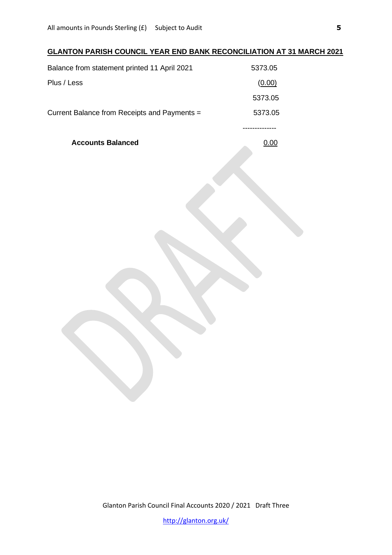# **GLANTON PARISH COUNCIL YEAR END BANK RECONCILIATION AT 31 MARCH 2021**

| Current Balance from Receipts and Payments = | 5373.05 |
|----------------------------------------------|---------|
|                                              | 5373.05 |
| Plus / Less                                  | (0.00)  |
| Balance from statement printed 11 April 2021 | 5373.05 |

**Accounts Balanced** 0.00

Glanton Parish Council Final Accounts 2020 / 2021 Draft Three